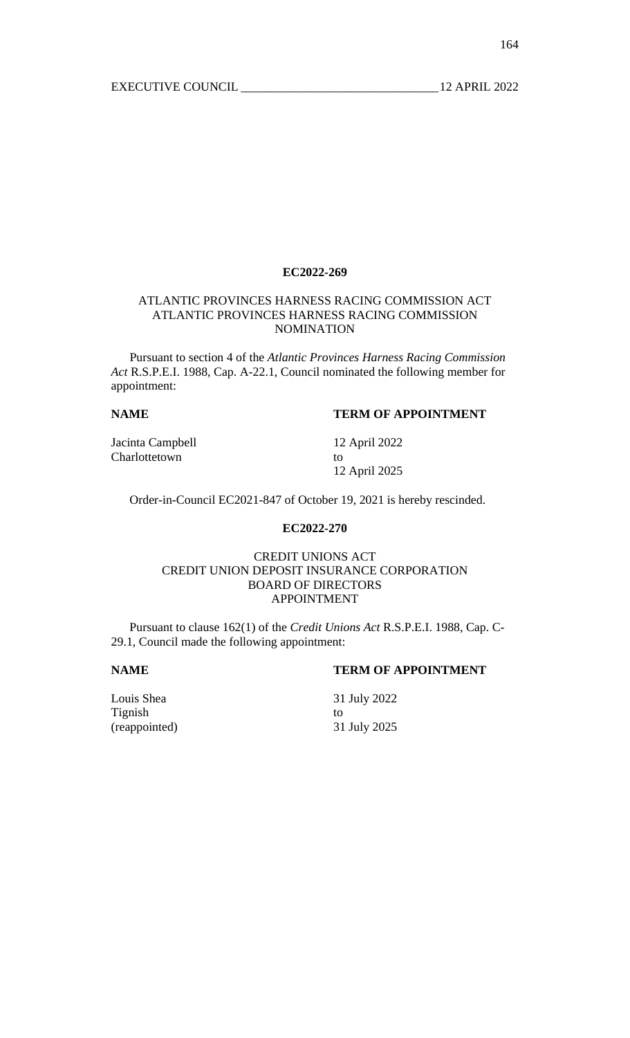#### **EC2022-269**

# ATLANTIC PROVINCES HARNESS RACING COMMISSION ACT ATLANTIC PROVINCES HARNESS RACING COMMISSION NOMINATION

 Pursuant to section 4 of the *Atlantic Provinces Harness Racing Commission Act* R.S.P.E.I. 1988, Cap. A-22.1, Council nominated the following member for appointment:

# **NAME TERM OF APPOINTMENT**

Jacinta Campbell 12 April 2022 Charlottetown to to the contract of the contract of the contract of the contract of the contract of the contract of the contract of the contract of the contract of the contract of the contract of the contract of the contra

12 April 2025

Order-in-Council EC2021-847 of October 19, 2021 is hereby rescinded.

# **EC2022-270**

#### CREDIT UNIONS ACT CREDIT UNION DEPOSIT INSURANCE CORPORATION BOARD OF DIRECTORS APPOINTMENT

 Pursuant to clause 162(1) of the *Credit Unions Act* R.S.P.E.I. 1988, Cap. C-29.1, Council made the following appointment:

# **NAME TERM OF APPOINTMENT**

Louis Shea 31 July 2022 Tignish to (reappointed) 31 July 2025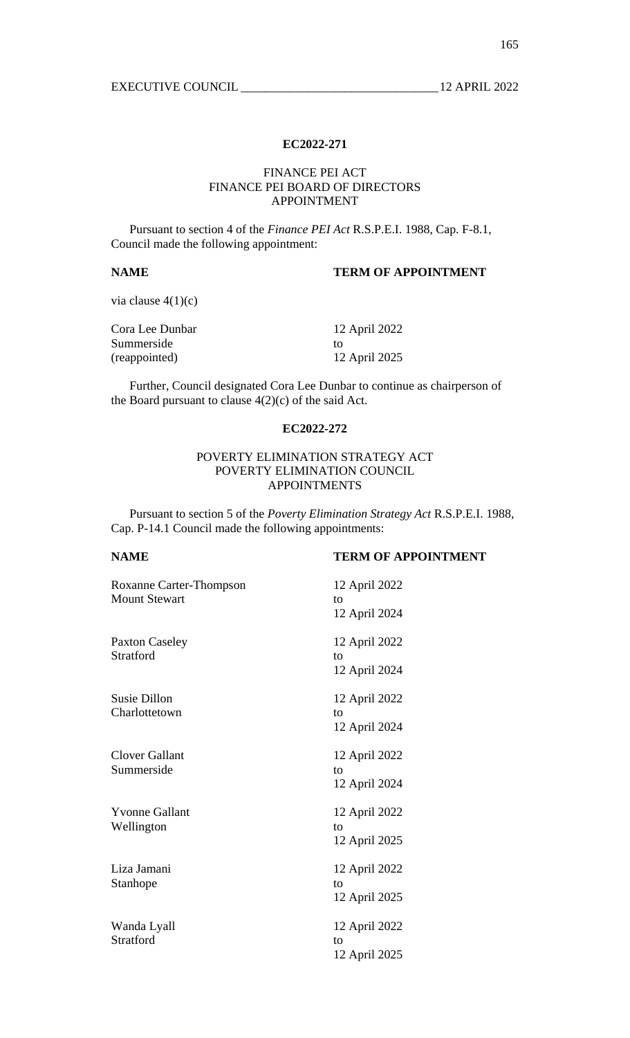### **EC2022-271**

### FINANCE PEI ACT FINANCE PEI BOARD OF DIRECTORS APPOINTMENT

 Pursuant to section 4 of the *Finance PEI Act* R.S.P.E.I. 1988, Cap. F-8.1, Council made the following appointment:

# **NAME TERM OF APPOINTMENT**

via clause  $4(1)(c)$ 

| Cora Lee Dunbar | 12 April 2022 |
|-----------------|---------------|
| Summerside      | TΩ            |
| (reappointed)   | 12 April 2025 |

 Further, Council designated Cora Lee Dunbar to continue as chairperson of the Board pursuant to clause 4(2)(c) of the said Act.

#### **EC2022-272**

### POVERTY ELIMINATION STRATEGY ACT POVERTY ELIMINATION COUNCIL APPOINTMENTS

 Pursuant to section 5 of the *Poverty Elimination Strategy Act* R.S.P.E.I. 1988, Cap. P-14.1 Council made the following appointments:

| Roxanne Carter-Thompson<br><b>Mount Stewart</b> | 12 April 2022<br>to |
|-------------------------------------------------|---------------------|
|                                                 | 12 April 2024       |
| <b>Paxton Caseley</b>                           | 12 April 2022       |
| <b>Stratford</b>                                | to                  |
|                                                 | 12 April 2024       |
| Susie Dillon                                    | 12 April 2022       |
| Charlottetown                                   | to                  |
|                                                 | 12 April 2024       |
| <b>Clover Gallant</b>                           | 12 April 2022       |
| Summerside                                      | to                  |
|                                                 | 12 April 2024       |
| <b>Yvonne Gallant</b>                           | 12 April 2022       |
| Wellington                                      | to                  |
|                                                 | 12 April 2025       |
| Liza Jamani                                     | 12 April 2022       |
| Stanhope                                        | to                  |
|                                                 | 12 April 2025       |
| Wanda Lyall                                     | 12 April 2022       |
| Stratford                                       | to                  |
|                                                 | 12 April 2025       |
|                                                 |                     |

# **NAME TERM OF APPOINTMENT**